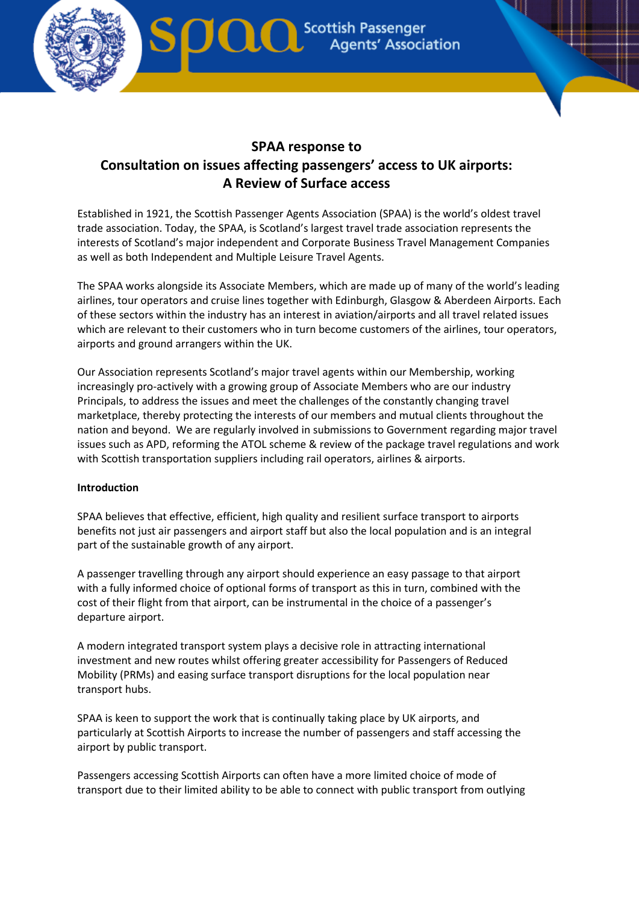

# **SPAA response to Consultation on issues affecting passengers' access to UK airports: A Review of Surface access**

Established in 1921, the Scottish Passenger Agents Association (SPAA) is the world's oldest travel trade association. Today, the SPAA, is Scotland's largest travel trade association represents the interests of Scotland's major independent and Corporate Business Travel Management Companies as well as both Independent and Multiple Leisure Travel Agents.

The SPAA works alongside its Associate Members, which are made up of many of the world's leading airlines, tour operators and cruise lines together with Edinburgh, Glasgow & Aberdeen Airports. Each of these sectors within the industry has an interest in aviation/airports and all travel related issues which are relevant to their customers who in turn become customers of the airlines, tour operators, airports and ground arrangers within the UK.

Our Association represents Scotland's major travel agents within our Membership, working increasingly pro-actively with a growing group of Associate Members who are our industry Principals, to address the issues and meet the challenges of the constantly changing travel marketplace, thereby protecting the interests of our members and mutual clients throughout the nation and beyond. We are regularly involved in submissions to Government regarding major travel issues such as APD, reforming the ATOL scheme & review of the package travel regulations and work with Scottish transportation suppliers including rail operators, airlines & airports.

# **Introduction**

SPAA believes that effective, efficient, high quality and resilient surface transport to airports benefits not just air passengers and airport staff but also the local population and is an integral part of the sustainable growth of any airport.

A passenger travelling through any airport should experience an easy passage to that airport with a fully informed choice of optional forms of transport as this in turn, combined with the cost of their flight from that airport, can be instrumental in the choice of a passenger's departure airport.

A modern integrated transport system plays a decisive role in attracting international investment and new routes whilst offering greater accessibility for Passengers of Reduced Mobility (PRMs) and easing surface transport disruptions for the local population near transport hubs.

SPAA is keen to support the work that is continually taking place by UK airports, and particularly at Scottish Airports to increase the number of passengers and staff accessing the airport by public transport.

Passengers accessing Scottish Airports can often have a more limited choice of mode of transport due to their limited ability to be able to connect with public transport from outlying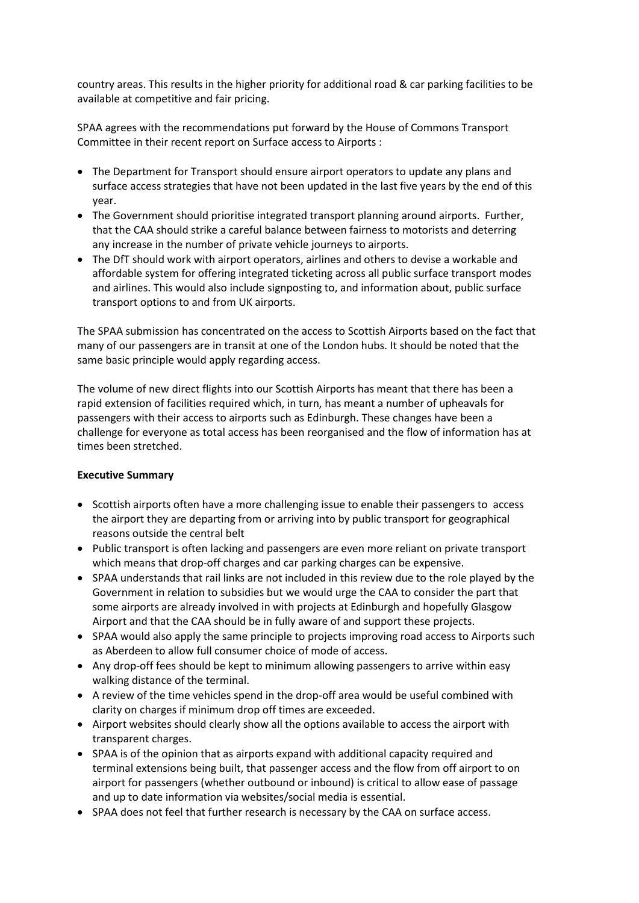country areas. This results in the higher priority for additional road & car parking facilities to be available at competitive and fair pricing.

SPAA agrees with the recommendations put forward by the House of Commons Transport Committee in their recent report on Surface access to Airports :

- The Department for Transport should ensure airport operators to update any plans and surface access strategies that have not been updated in the last five years by the end of this year.
- The Government should prioritise integrated transport planning around airports. Further, that the CAA should strike a careful balance between fairness to motorists and deterring any increase in the number of private vehicle journeys to airports.
- The DfT should work with airport operators, airlines and others to devise a workable and affordable system for offering integrated ticketing across all public surface transport modes and airlines. This would also include signposting to, and information about, public surface transport options to and from UK airports.

The SPAA submission has concentrated on the access to Scottish Airports based on the fact that many of our passengers are in transit at one of the London hubs. It should be noted that the same basic principle would apply regarding access.

The volume of new direct flights into our Scottish Airports has meant that there has been a rapid extension of facilities required which, in turn, has meant a number of upheavals for passengers with their access to airports such as Edinburgh. These changes have been a challenge for everyone as total access has been reorganised and the flow of information has at times been stretched.

#### **Executive Summary**

- Scottish airports often have a more challenging issue to enable their passengers to access the airport they are departing from or arriving into by public transport for geographical reasons outside the central belt
- Public transport is often lacking and passengers are even more reliant on private transport which means that drop-off charges and car parking charges can be expensive.
- SPAA understands that rail links are not included in this review due to the role played by the Government in relation to subsidies but we would urge the CAA to consider the part that some airports are already involved in with projects at Edinburgh and hopefully Glasgow Airport and that the CAA should be in fully aware of and support these projects.
- SPAA would also apply the same principle to projects improving road access to Airports such as Aberdeen to allow full consumer choice of mode of access.
- Any drop-off fees should be kept to minimum allowing passengers to arrive within easy walking distance of the terminal.
- A review of the time vehicles spend in the drop-off area would be useful combined with clarity on charges if minimum drop off times are exceeded.
- Airport websites should clearly show all the options available to access the airport with transparent charges.
- SPAA is of the opinion that as airports expand with additional capacity required and terminal extensions being built, that passenger access and the flow from off airport to on airport for passengers (whether outbound or inbound) is critical to allow ease of passage and up to date information via websites/social media is essential.
- SPAA does not feel that further research is necessary by the CAA on surface access.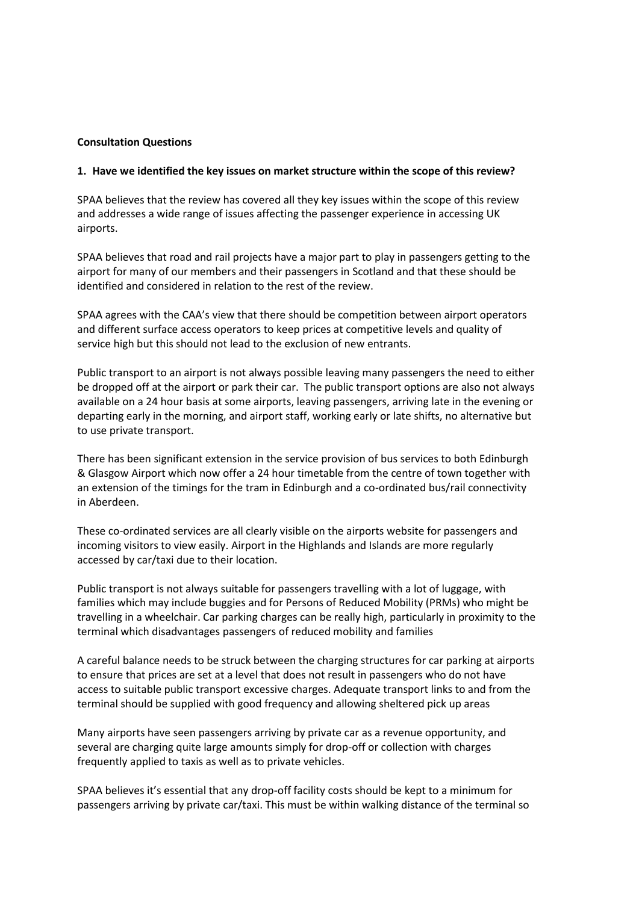#### **Consultation Questions**

#### **1. Have we identified the key issues on market structure within the scope of this review?**

SPAA believes that the review has covered all they key issues within the scope of this review and addresses a wide range of issues affecting the passenger experience in accessing UK airports.

SPAA believes that road and rail projects have a major part to play in passengers getting to the airport for many of our members and their passengers in Scotland and that these should be identified and considered in relation to the rest of the review.

SPAA agrees with the CAA's view that there should be competition between airport operators and different surface access operators to keep prices at competitive levels and quality of service high but this should not lead to the exclusion of new entrants.

Public transport to an airport is not always possible leaving many passengers the need to either be dropped off at the airport or park their car. The public transport options are also not always available on a 24 hour basis at some airports, leaving passengers, arriving late in the evening or departing early in the morning, and airport staff, working early or late shifts, no alternative but to use private transport.

There has been significant extension in the service provision of bus services to both Edinburgh & Glasgow Airport which now offer a 24 hour timetable from the centre of town together with an extension of the timings for the tram in Edinburgh and a co-ordinated bus/rail connectivity in Aberdeen.

These co-ordinated services are all clearly visible on the airports website for passengers and incoming visitors to view easily. Airport in the Highlands and Islands are more regularly accessed by car/taxi due to their location.

Public transport is not always suitable for passengers travelling with a lot of luggage, with families which may include buggies and for Persons of Reduced Mobility (PRMs) who might be travelling in a wheelchair. Car parking charges can be really high, particularly in proximity to the terminal which disadvantages passengers of reduced mobility and families

A careful balance needs to be struck between the charging structures for car parking at airports to ensure that prices are set at a level that does not result in passengers who do not have access to suitable public transport excessive charges. Adequate transport links to and from the terminal should be supplied with good frequency and allowing sheltered pick up areas

Many airports have seen passengers arriving by private car as a revenue opportunity, and several are charging quite large amounts simply for drop-off or collection with charges frequently applied to taxis as well as to private vehicles.

SPAA believes it's essential that any drop-off facility costs should be kept to a minimum for passengers arriving by private car/taxi. This must be within walking distance of the terminal so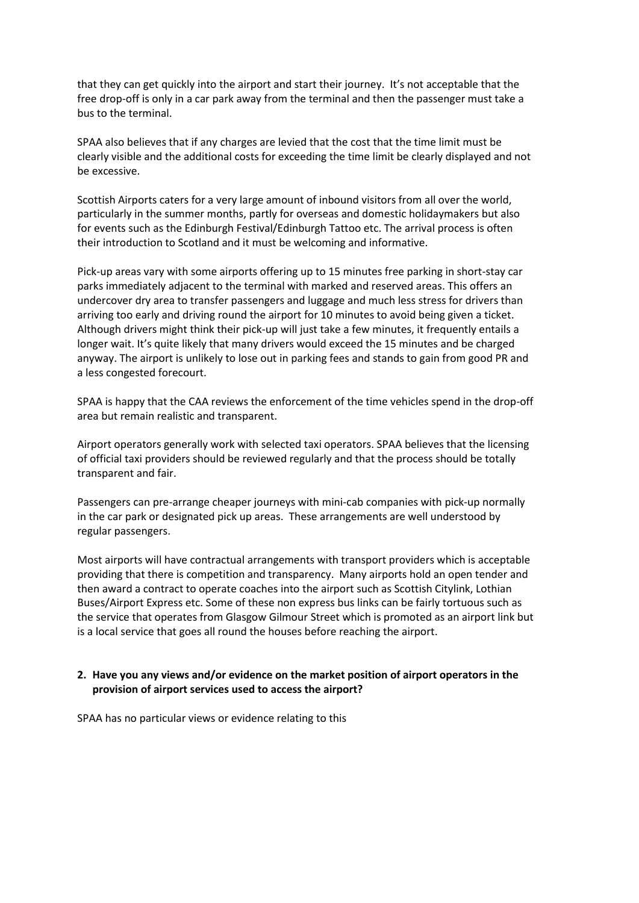that they can get quickly into the airport and start their journey. It's not acceptable that the free drop-off is only in a car park away from the terminal and then the passenger must take a bus to the terminal.

SPAA also believes that if any charges are levied that the cost that the time limit must be clearly visible and the additional costs for exceeding the time limit be clearly displayed and not be excessive.

Scottish Airports caters for a very large amount of inbound visitors from all over the world, particularly in the summer months, partly for overseas and domestic holidaymakers but also for events such as the Edinburgh Festival/Edinburgh Tattoo etc. The arrival process is often their introduction to Scotland and it must be welcoming and informative.

Pick-up areas vary with some airports offering up to 15 minutes free parking in short-stay car parks immediately adjacent to the terminal with marked and reserved areas. This offers an undercover dry area to transfer passengers and luggage and much less stress for drivers than arriving too early and driving round the airport for 10 minutes to avoid being given a ticket. Although drivers might think their pick-up will just take a few minutes, it frequently entails a longer wait. It's quite likely that many drivers would exceed the 15 minutes and be charged anyway. The airport is unlikely to lose out in parking fees and stands to gain from good PR and a less congested forecourt.

SPAA is happy that the CAA reviews the enforcement of the time vehicles spend in the drop-off area but remain realistic and transparent.

Airport operators generally work with selected taxi operators. SPAA believes that the licensing of official taxi providers should be reviewed regularly and that the process should be totally transparent and fair.

Passengers can pre-arrange cheaper journeys with mini-cab companies with pick-up normally in the car park or designated pick up areas. These arrangements are well understood by regular passengers.

Most airports will have contractual arrangements with transport providers which is acceptable providing that there is competition and transparency. Many airports hold an open tender and then award a contract to operate coaches into the airport such as Scottish Citylink, Lothian Buses/Airport Express etc. Some of these non express bus links can be fairly tortuous such as the service that operates from Glasgow Gilmour Street which is promoted as an airport link but is a local service that goes all round the houses before reaching the airport.

#### **2. Have you any views and/or evidence on the market position of airport operators in the provision of airport services used to access the airport?**

SPAA has no particular views or evidence relating to this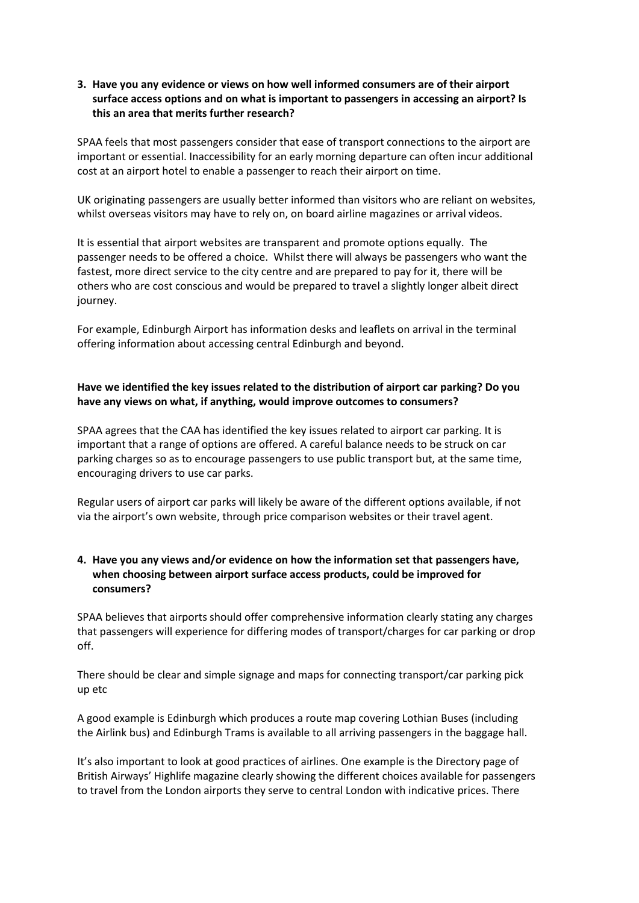## **3. Have you any evidence or views on how well informed consumers are of their airport surface access options and on what is important to passengers in accessing an airport? Is this an area that merits further research?**

SPAA feels that most passengers consider that ease of transport connections to the airport are important or essential. Inaccessibility for an early morning departure can often incur additional cost at an airport hotel to enable a passenger to reach their airport on time.

UK originating passengers are usually better informed than visitors who are reliant on websites, whilst overseas visitors may have to rely on, on board airline magazines or arrival videos.

It is essential that airport websites are transparent and promote options equally. The passenger needs to be offered a choice. Whilst there will always be passengers who want the fastest, more direct service to the city centre and are prepared to pay for it, there will be others who are cost conscious and would be prepared to travel a slightly longer albeit direct journey.

For example, Edinburgh Airport has information desks and leaflets on arrival in the terminal offering information about accessing central Edinburgh and beyond.

# **Have we identified the key issues related to the distribution of airport car parking? Do you have any views on what, if anything, would improve outcomes to consumers?**

SPAA agrees that the CAA has identified the key issues related to airport car parking. It is important that a range of options are offered. A careful balance needs to be struck on car parking charges so as to encourage passengers to use public transport but, at the same time, encouraging drivers to use car parks.

Regular users of airport car parks will likely be aware of the different options available, if not via the airport's own website, through price comparison websites or their travel agent.

## **4. Have you any views and/or evidence on how the information set that passengers have, when choosing between airport surface access products, could be improved for consumers?**

SPAA believes that airports should offer comprehensive information clearly stating any charges that passengers will experience for differing modes of transport/charges for car parking or drop off.

There should be clear and simple signage and maps for connecting transport/car parking pick up etc

A good example is Edinburgh which produces a route map covering Lothian Buses (including the Airlink bus) and Edinburgh Trams is available to all arriving passengers in the baggage hall.

It's also important to look at good practices of airlines. One example is the Directory page of British Airways' Highlife magazine clearly showing the different choices available for passengers to travel from the London airports they serve to central London with indicative prices. There